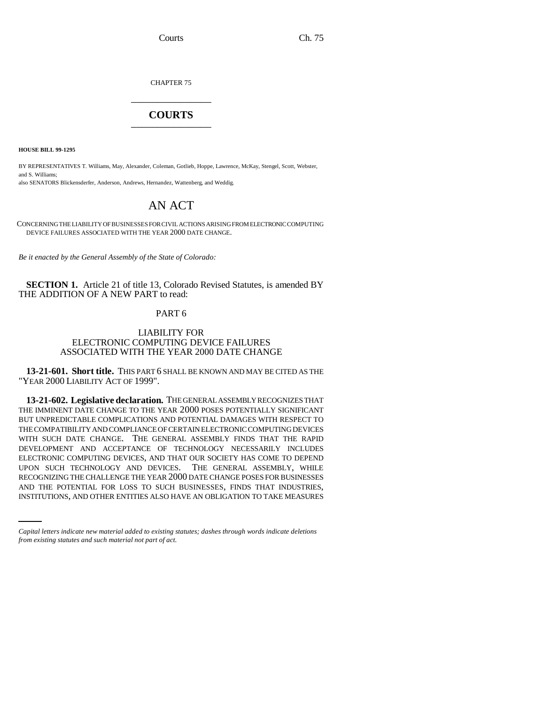Courts Ch. 75

CHAPTER 75 \_\_\_\_\_\_\_\_\_\_\_\_\_\_\_

# **COURTS** \_\_\_\_\_\_\_\_\_\_\_\_\_\_\_

**HOUSE BILL 99-1295**

BY REPRESENTATIVES T. Williams, May, Alexander, Coleman, Gotlieb, Hoppe, Lawrence, McKay, Stengel, Scott, Webster, and S. Williams; also SENATORS Blickensderfer, Anderson, Andrews, Hernandez, Wattenberg, and Weddig.

# AN ACT

CONCERNING THE LIABILITY OF BUSINESSES FOR CIVIL ACTIONS ARISING FROM ELECTRONIC COMPUTING DEVICE FAILURES ASSOCIATED WITH THE YEAR 2000 DATE CHANGE.

*Be it enacted by the General Assembly of the State of Colorado:*

**SECTION 1.** Article 21 of title 13, Colorado Revised Statutes, is amended BY THE ADDITION OF A NEW PART to read:

## PART 6

### LIABILITY FOR ELECTRONIC COMPUTING DEVICE FAILURES ASSOCIATED WITH THE YEAR 2000 DATE CHANGE

**13-21-601. Short title.** THIS PART 6 SHALL BE KNOWN AND MAY BE CITED AS THE "YEAR 2000 LIABILITY ACT OF 1999".

RECOGNIZING THE CHALLENGE THE YEAR 2000 DATE CHANGE POSES FOR BUSINESSES **13-21-602. Legislative declaration.** THE GENERAL ASSEMBLY RECOGNIZES THAT THE IMMINENT DATE CHANGE TO THE YEAR 2000 POSES POTENTIALLY SIGNIFICANT BUT UNPREDICTABLE COMPLICATIONS AND POTENTIAL DAMAGES WITH RESPECT TO THE COMPATIBILITY AND COMPLIANCE OF CERTAIN ELECTRONIC COMPUTING DEVICES WITH SUCH DATE CHANGE. THE GENERAL ASSEMBLY FINDS THAT THE RAPID DEVELOPMENT AND ACCEPTANCE OF TECHNOLOGY NECESSARILY INCLUDES ELECTRONIC COMPUTING DEVICES, AND THAT OUR SOCIETY HAS COME TO DEPEND UPON SUCH TECHNOLOGY AND DEVICES. THE GENERAL ASSEMBLY, WHILE AND THE POTENTIAL FOR LOSS TO SUCH BUSINESSES, FINDS THAT INDUSTRIES, INSTITUTIONS, AND OTHER ENTITIES ALSO HAVE AN OBLIGATION TO TAKE MEASURES

*Capital letters indicate new material added to existing statutes; dashes through words indicate deletions from existing statutes and such material not part of act.*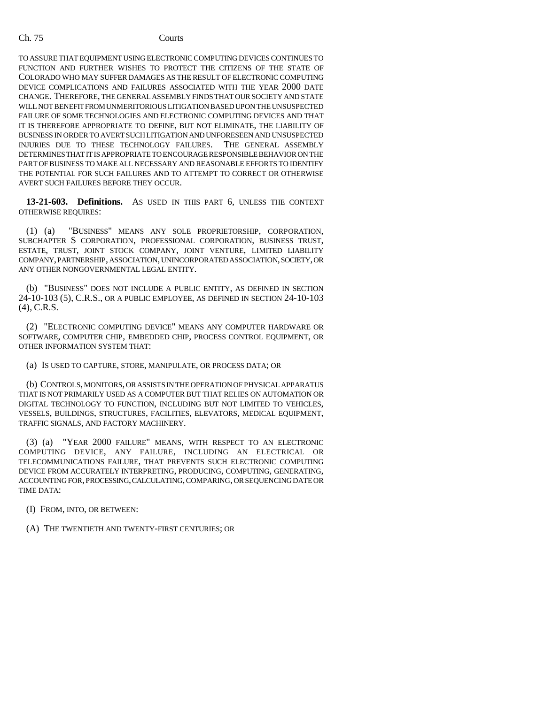TO ASSURE THAT EQUIPMENT USING ELECTRONIC COMPUTING DEVICES CONTINUES TO FUNCTION AND FURTHER WISHES TO PROTECT THE CITIZENS OF THE STATE OF COLORADO WHO MAY SUFFER DAMAGES AS THE RESULT OF ELECTRONIC COMPUTING DEVICE COMPLICATIONS AND FAILURES ASSOCIATED WITH THE YEAR 2000 DATE CHANGE. THEREFORE, THE GENERAL ASSEMBLY FINDS THAT OUR SOCIETY AND STATE WILL NOT BENEFIT FROM UNMERITORIOUS LITIGATION BASED UPON THE UNSUSPECTED FAILURE OF SOME TECHNOLOGIES AND ELECTRONIC COMPUTING DEVICES AND THAT IT IS THEREFORE APPROPRIATE TO DEFINE, BUT NOT ELIMINATE, THE LIABILITY OF BUSINESS IN ORDER TO AVERT SUCH LITIGATION AND UNFORESEEN AND UNSUSPECTED INJURIES DUE TO THESE TECHNOLOGY FAILURES. THE GENERAL ASSEMBLY DETERMINES THAT IT IS APPROPRIATE TO ENCOURAGE RESPONSIBLE BEHAVIOR ON THE PART OF BUSINESS TO MAKE ALL NECESSARY AND REASONABLE EFFORTS TO IDENTIFY THE POTENTIAL FOR SUCH FAILURES AND TO ATTEMPT TO CORRECT OR OTHERWISE AVERT SUCH FAILURES BEFORE THEY OCCUR.

**13-21-603. Definitions.** AS USED IN THIS PART 6, UNLESS THE CONTEXT OTHERWISE REQUIRES:

(1) (a) "BUSINESS" MEANS ANY SOLE PROPRIETORSHIP, CORPORATION, SUBCHAPTER S CORPORATION, PROFESSIONAL CORPORATION, BUSINESS TRUST, ESTATE, TRUST, JOINT STOCK COMPANY, JOINT VENTURE, LIMITED LIABILITY COMPANY, PARTNERSHIP, ASSOCIATION, UNINCORPORATED ASSOCIATION, SOCIETY, OR ANY OTHER NONGOVERNMENTAL LEGAL ENTITY.

(b) "BUSINESS" DOES NOT INCLUDE A PUBLIC ENTITY, AS DEFINED IN SECTION 24-10-103 (5), C.R.S., OR A PUBLIC EMPLOYEE, AS DEFINED IN SECTION 24-10-103 (4), C.R.S.

(2) "ELECTRONIC COMPUTING DEVICE" MEANS ANY COMPUTER HARDWARE OR SOFTWARE, COMPUTER CHIP, EMBEDDED CHIP, PROCESS CONTROL EQUIPMENT, OR OTHER INFORMATION SYSTEM THAT:

(a) IS USED TO CAPTURE, STORE, MANIPULATE, OR PROCESS DATA; OR

(b) CONTROLS, MONITORS, OR ASSISTS IN THE OPERATION OF PHYSICAL APPARATUS THAT IS NOT PRIMARILY USED AS A COMPUTER BUT THAT RELIES ON AUTOMATION OR DIGITAL TECHNOLOGY TO FUNCTION, INCLUDING BUT NOT LIMITED TO VEHICLES, VESSELS, BUILDINGS, STRUCTURES, FACILITIES, ELEVATORS, MEDICAL EQUIPMENT, TRAFFIC SIGNALS, AND FACTORY MACHINERY.

(3) (a) "YEAR 2000 FAILURE" MEANS, WITH RESPECT TO AN ELECTRONIC COMPUTING DEVICE, ANY FAILURE, INCLUDING AN ELECTRICAL OR TELECOMMUNICATIONS FAILURE, THAT PREVENTS SUCH ELECTRONIC COMPUTING DEVICE FROM ACCURATELY INTERPRETING, PRODUCING, COMPUTING, GENERATING, ACCOUNTING FOR, PROCESSING, CALCULATING, COMPARING, OR SEQUENCING DATE OR TIME DATA:

(I) FROM, INTO, OR BETWEEN:

(A) THE TWENTIETH AND TWENTY-FIRST CENTURIES; OR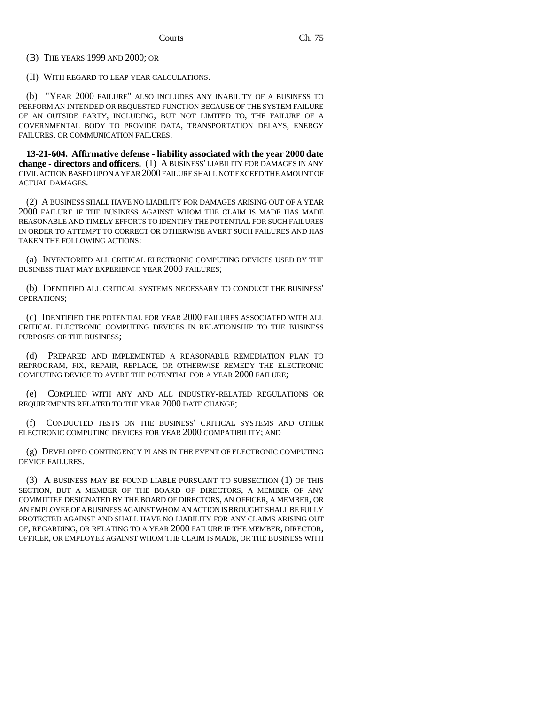(B) THE YEARS 1999 AND 2000; OR

(II) WITH REGARD TO LEAP YEAR CALCULATIONS.

(b) "YEAR 2000 FAILURE" ALSO INCLUDES ANY INABILITY OF A BUSINESS TO PERFORM AN INTENDED OR REQUESTED FUNCTION BECAUSE OF THE SYSTEM FAILURE OF AN OUTSIDE PARTY, INCLUDING, BUT NOT LIMITED TO, THE FAILURE OF A GOVERNMENTAL BODY TO PROVIDE DATA, TRANSPORTATION DELAYS, ENERGY FAILURES, OR COMMUNICATION FAILURES.

**13-21-604. Affirmative defense - liability associated with the year 2000 date change - directors and officers.** (1) A BUSINESS' LIABILITY FOR DAMAGES IN ANY CIVIL ACTION BASED UPON A YEAR 2000 FAILURE SHALL NOT EXCEED THE AMOUNT OF ACTUAL DAMAGES.

(2) A BUSINESS SHALL HAVE NO LIABILITY FOR DAMAGES ARISING OUT OF A YEAR 2000 FAILURE IF THE BUSINESS AGAINST WHOM THE CLAIM IS MADE HAS MADE REASONABLE AND TIMELY EFFORTS TO IDENTIFY THE POTENTIAL FOR SUCH FAILURES IN ORDER TO ATTEMPT TO CORRECT OR OTHERWISE AVERT SUCH FAILURES AND HAS TAKEN THE FOLLOWING ACTIONS:

(a) INVENTORIED ALL CRITICAL ELECTRONIC COMPUTING DEVICES USED BY THE BUSINESS THAT MAY EXPERIENCE YEAR 2000 FAILURES;

(b) IDENTIFIED ALL CRITICAL SYSTEMS NECESSARY TO CONDUCT THE BUSINESS' OPERATIONS;

(c) IDENTIFIED THE POTENTIAL FOR YEAR 2000 FAILURES ASSOCIATED WITH ALL CRITICAL ELECTRONIC COMPUTING DEVICES IN RELATIONSHIP TO THE BUSINESS PURPOSES OF THE BUSINESS;

(d) PREPARED AND IMPLEMENTED A REASONABLE REMEDIATION PLAN TO REPROGRAM, FIX, REPAIR, REPLACE, OR OTHERWISE REMEDY THE ELECTRONIC COMPUTING DEVICE TO AVERT THE POTENTIAL FOR A YEAR 2000 FAILURE;

(e) COMPLIED WITH ANY AND ALL INDUSTRY-RELATED REGULATIONS OR REQUIREMENTS RELATED TO THE YEAR 2000 DATE CHANGE;

(f) CONDUCTED TESTS ON THE BUSINESS' CRITICAL SYSTEMS AND OTHER ELECTRONIC COMPUTING DEVICES FOR YEAR 2000 COMPATIBILITY; AND

(g) DEVELOPED CONTINGENCY PLANS IN THE EVENT OF ELECTRONIC COMPUTING DEVICE FAILURES.

(3) A BUSINESS MAY BE FOUND LIABLE PURSUANT TO SUBSECTION (1) OF THIS SECTION, BUT A MEMBER OF THE BOARD OF DIRECTORS, A MEMBER OF ANY COMMITTEE DESIGNATED BY THE BOARD OF DIRECTORS, AN OFFICER, A MEMBER, OR AN EMPLOYEE OF A BUSINESS AGAINST WHOM AN ACTION IS BROUGHT SHALL BE FULLY PROTECTED AGAINST AND SHALL HAVE NO LIABILITY FOR ANY CLAIMS ARISING OUT OF, REGARDING, OR RELATING TO A YEAR 2000 FAILURE IF THE MEMBER, DIRECTOR, OFFICER, OR EMPLOYEE AGAINST WHOM THE CLAIM IS MADE, OR THE BUSINESS WITH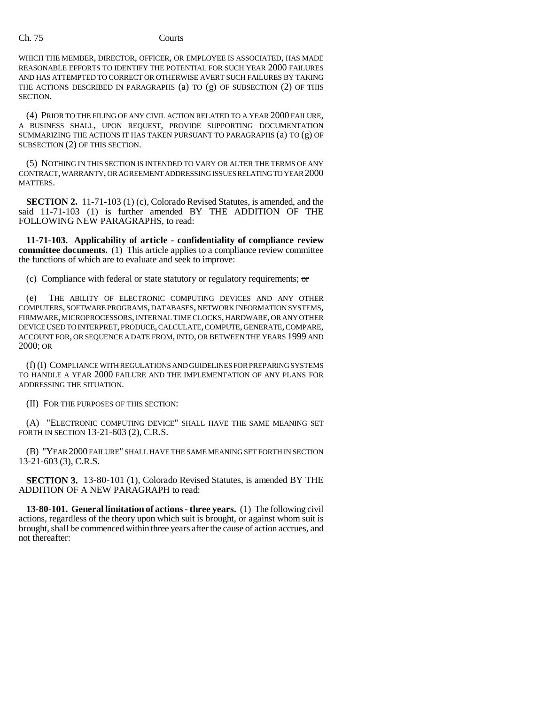### Ch. 75 Courts

WHICH THE MEMBER, DIRECTOR, OFFICER, OR EMPLOYEE IS ASSOCIATED, HAS MADE REASONABLE EFFORTS TO IDENTIFY THE POTENTIAL FOR SUCH YEAR 2000 FAILURES AND HAS ATTEMPTED TO CORRECT OR OTHERWISE AVERT SUCH FAILURES BY TAKING THE ACTIONS DESCRIBED IN PARAGRAPHS (a) TO (g) OF SUBSECTION (2) OF THIS SECTION.

(4) PRIOR TO THE FILING OF ANY CIVIL ACTION RELATED TO A YEAR 2000 FAILURE, A BUSINESS SHALL, UPON REQUEST, PROVIDE SUPPORTING DOCUMENTATION SUMMARIZING THE ACTIONS IT HAS TAKEN PURSUANT TO PARAGRAPHS (a) TO (g) OF SUBSECTION (2) OF THIS SECTION.

(5) NOTHING IN THIS SECTION IS INTENDED TO VARY OR ALTER THE TERMS OF ANY CONTRACT, WARRANTY, OR AGREEMENT ADDRESSING ISSUES RELATING TO YEAR 2000 MATTERS.

**SECTION 2.** 11-71-103 (1) (c), Colorado Revised Statutes, is amended, and the said 11-71-103 (1) is further amended BY THE ADDITION OF THE FOLLOWING NEW PARAGRAPHS, to read:

**11-71-103. Applicability of article - confidentiality of compliance review committee documents.** (1) This article applies to a compliance review committee the functions of which are to evaluate and seek to improve:

(c) Compliance with federal or state statutory or regulatory requirements;  $\sigma$ 

(e) THE ABILITY OF ELECTRONIC COMPUTING DEVICES AND ANY OTHER COMPUTERS, SOFTWARE PROGRAMS, DATABASES, NETWORK INFORMATION SYSTEMS, FIRMWARE, MICROPROCESSORS, INTERNAL TIME CLOCKS, HARDWARE, OR ANY OTHER DEVICE USED TO INTERPRET, PRODUCE, CALCULATE, COMPUTE, GENERATE, COMPARE, ACCOUNT FOR, OR SEQUENCE A DATE FROM, INTO, OR BETWEEN THE YEARS 1999 AND 2000; OR

(f) (I) COMPLIANCE WITH REGULATIONS AND GUIDELINES FOR PREPARING SYSTEMS TO HANDLE A YEAR 2000 FAILURE AND THE IMPLEMENTATION OF ANY PLANS FOR ADDRESSING THE SITUATION.

(II) FOR THE PURPOSES OF THIS SECTION:

(A) "ELECTRONIC COMPUTING DEVICE" SHALL HAVE THE SAME MEANING SET FORTH IN SECTION 13-21-603 (2), C.R.S.

(B) "YEAR 2000 FAILURE" SHALL HAVE THE SAME MEANING SET FORTH IN SECTION 13-21-603 (3), C.R.S.

**SECTION 3.** 13-80-101 (1), Colorado Revised Statutes, is amended BY THE ADDITION OF A NEW PARAGRAPH to read:

**13-80-101. General limitation of actions - three years.** (1) The following civil actions, regardless of the theory upon which suit is brought, or against whom suit is brought, shall be commenced within three years after the cause of action accrues, and not thereafter: